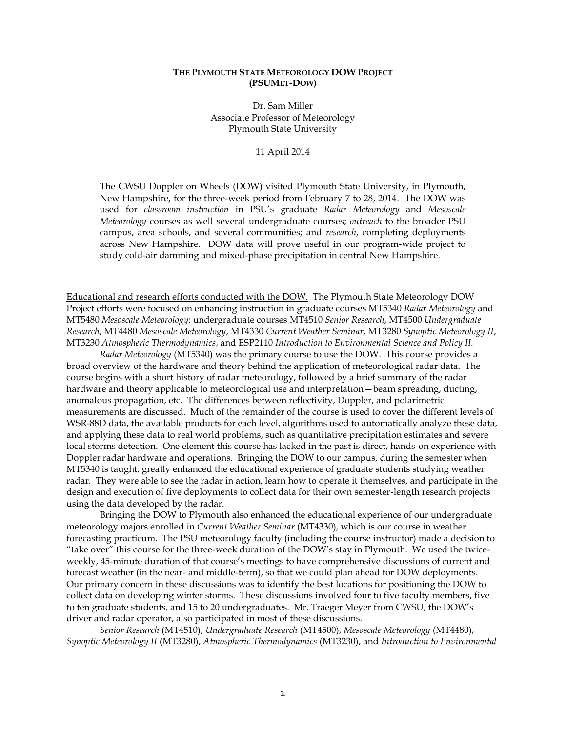## **THE PLYMOUTH STATE METEOROLOGY DOW PROJECT (PSUMET-DOW)**

Dr. Sam Miller Associate Professor of Meteorology Plymouth State University

11 April 2014

The CWSU Doppler on Wheels (DOW) visited Plymouth State University, in Plymouth, New Hampshire, for the three-week period from February 7 to 28, 2014. The DOW was used for *classroom instruction* in PSU's graduate *Radar Meteorology* and *Mesoscale Meteorology* courses as well several undergraduate courses; *outreach* to the broader PSU campus, area schools, and several communities; and *research*, completing deployments across New Hampshire. DOW data will prove useful in our program-wide project to study cold-air damming and mixed-phase precipitation in central New Hampshire.

Educational and research efforts conducted with the DOW. The Plymouth State Meteorology DOW Project efforts were focused on enhancing instruction in graduate courses MT5340 *Radar Meteorology* and MT5480 *Mesoscale Meteorology*; undergraduate courses MT4510 *Senior Research*, MT4500 *Undergraduate Research*, MT4480 *Mesoscale Meteorology*, MT4330 *Current Weather Seminar*, MT3280 *Synoptic Meteorology II*, MT3230 *Atmospheric Thermodynamics*, and ESP2110 *Introduction to Environmental Science and Policy II.* 

*Radar Meteorology* (MT5340) was the primary course to use the DOW. This course provides a broad overview of the hardware and theory behind the application of meteorological radar data. The course begins with a short history of radar meteorology, followed by a brief summary of the radar hardware and theory applicable to meteorological use and interpretation—beam spreading, ducting, anomalous propagation, etc. The differences between reflectivity, Doppler, and polarimetric measurements are discussed. Much of the remainder of the course is used to cover the different levels of WSR-88D data, the available products for each level, algorithms used to automatically analyze these data, and applying these data to real world problems, such as quantitative precipitation estimates and severe local storms detection. One element this course has lacked in the past is direct, hands-on experience with Doppler radar hardware and operations. Bringing the DOW to our campus, during the semester when MT5340 is taught, greatly enhanced the educational experience of graduate students studying weather radar. They were able to see the radar in action, learn how to operate it themselves, and participate in the design and execution of five deployments to collect data for their own semester-length research projects using the data developed by the radar.

Bringing the DOW to Plymouth also enhanced the educational experience of our undergraduate meteorology majors enrolled in *Current Weather Seminar* (MT4330), which is our course in weather forecasting practicum. The PSU meteorology faculty (including the course instructor) made a decision to "take over" this course for the three-week duration of the DOW's stay in Plymouth. We used the twiceweekly, 45-minute duration of that course's meetings to have comprehensive discussions of current and forecast weather (in the near- and middle-term), so that we could plan ahead for DOW deployments. Our primary concern in these discussions was to identify the best locations for positioning the DOW to collect data on developing winter storms. These discussions involved four to five faculty members, five to ten graduate students, and 15 to 20 undergraduates. Mr. Traeger Meyer from CWSU, the DOW's driver and radar operator, also participated in most of these discussions.

*Senior Research* (MT4510), *Undergraduate Research* (MT4500), *Mesoscale Meteorology* (MT4480), *Synoptic Meteorology II* (MT3280), *Atmospheric Thermodynamics* (MT3230), and *Introduction to Environmental*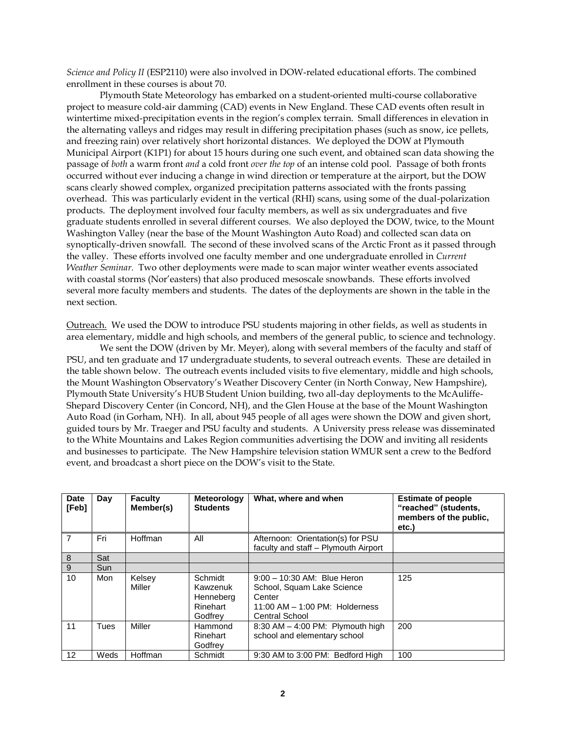*Science and Policy II* (ESP2110) were also involved in DOW-related educational efforts. The combined enrollment in these courses is about 70.

Plymouth State Meteorology has embarked on a student-oriented multi-course collaborative project to measure cold-air damming (CAD) events in New England. These CAD events often result in wintertime mixed-precipitation events in the region's complex terrain. Small differences in elevation in the alternating valleys and ridges may result in differing precipitation phases (such as snow, ice pellets, and freezing rain) over relatively short horizontal distances. We deployed the DOW at Plymouth Municipal Airport (K1P1) for about 15 hours during one such event, and obtained scan data showing the passage of *both* a warm front *and* a cold front *over the top* of an intense cold pool. Passage of both fronts occurred without ever inducing a change in wind direction or temperature at the airport, but the DOW scans clearly showed complex, organized precipitation patterns associated with the fronts passing overhead. This was particularly evident in the vertical (RHI) scans, using some of the dual-polarization products. The deployment involved four faculty members, as well as six undergraduates and five graduate students enrolled in several different courses. We also deployed the DOW, twice, to the Mount Washington Valley (near the base of the Mount Washington Auto Road) and collected scan data on synoptically-driven snowfall. The second of these involved scans of the Arctic Front as it passed through the valley. These efforts involved one faculty member and one undergraduate enrolled in *Current Weather Seminar.* Two other deployments were made to scan major winter weather events associated with coastal storms (Nor'easters) that also produced mesoscale snowbands. These efforts involved several more faculty members and students. The dates of the deployments are shown in the table in the next section.

Outreach. We used the DOW to introduce PSU students majoring in other fields, as well as students in area elementary, middle and high schools, and members of the general public, to science and technology.

We sent the DOW (driven by Mr. Meyer), along with several members of the faculty and staff of PSU, and ten graduate and 17 undergraduate students, to several outreach events. These are detailed in the table shown below. The outreach events included visits to five elementary, middle and high schools, the Mount Washington Observatory's Weather Discovery Center (in North Conway, New Hampshire), Plymouth State University's HUB Student Union building, two all-day deployments to the McAuliffe-Shepard Discovery Center (in Concord, NH), and the Glen House at the base of the Mount Washington Auto Road (in Gorham, NH). In all, about 945 people of all ages were shown the DOW and given short, guided tours by Mr. Traeger and PSU faculty and students. A University press release was disseminated to the White Mountains and Lakes Region communities advertising the DOW and inviting all residents and businesses to participate. The New Hampshire television station WMUR sent a crew to the Bedford event, and broadcast a short piece on the DOW's visit to the State.

| <b>Date</b><br>[Feb] | Day         | <b>Faculty</b><br>Member(s) | <b>Meteorology</b><br><b>Students</b>                   | What, where and when                                                                                                                 | <b>Estimate of people</b><br>"reached" (students,<br>members of the public,<br>etc.) |
|----------------------|-------------|-----------------------------|---------------------------------------------------------|--------------------------------------------------------------------------------------------------------------------------------------|--------------------------------------------------------------------------------------|
| $\overline{7}$       | Fri         | Hoffman                     | All                                                     | Afternoon: Orientation(s) for PSU<br>faculty and staff - Plymouth Airport                                                            |                                                                                      |
| 8                    | Sat         |                             |                                                         |                                                                                                                                      |                                                                                      |
| 9                    | Sun         |                             |                                                         |                                                                                                                                      |                                                                                      |
| 10                   | Mon         | Kelsey<br>Miller            | Schmidt<br>Kawzenuk<br>Henneberg<br>Rinehart<br>Godfrev | $9:00 - 10:30$ AM: Blue Heron<br>School, Squam Lake Science<br>Center<br>$11:00$ AM $- 1:00$ PM: Holderness<br><b>Central School</b> | 125                                                                                  |
| 11                   | <b>Tues</b> | Miller                      | Hammond<br>Rinehart<br>Godfrev                          | $8:30$ AM $-$ 4:00 PM: Plymouth high<br>school and elementary school                                                                 | 200                                                                                  |
| 12                   | Weds        | Hoffman                     | Schmidt                                                 | 9:30 AM to 3:00 PM: Bedford High                                                                                                     | 100                                                                                  |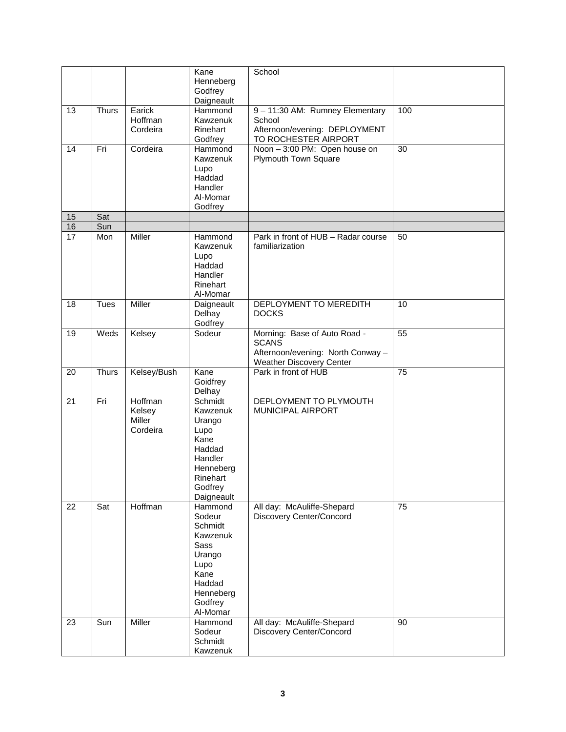|    |              |                                         | Kane<br>Henneberg<br>Godfrey                                                                                                    | School                                                                                                               |     |
|----|--------------|-----------------------------------------|---------------------------------------------------------------------------------------------------------------------------------|----------------------------------------------------------------------------------------------------------------------|-----|
|    |              |                                         | Daigneault                                                                                                                      |                                                                                                                      |     |
| 13 | <b>Thurs</b> | Earick<br>Hoffman<br>Cordeira           | Hammond<br>Kawzenuk<br>Rinehart<br>Godfrey                                                                                      | 9 - 11:30 AM: Rumney Elementary<br>School<br>Afternoon/evening: DEPLOYMENT<br>TO ROCHESTER AIRPORT                   | 100 |
| 14 | Fri          | Cordeira                                | Hammond<br>Kawzenuk<br>Lupo<br>Haddad<br>Handler<br>Al-Momar<br>Godfrey                                                         | Noon - 3:00 PM: Open house on<br>Plymouth Town Square                                                                | 30  |
| 15 | Sat          |                                         |                                                                                                                                 |                                                                                                                      |     |
| 16 | Sun          |                                         |                                                                                                                                 |                                                                                                                      |     |
| 17 | Mon          | <b>Miller</b>                           | Hammond<br>Kawzenuk<br>Lupo<br>Haddad<br>Handler<br>Rinehart<br>Al-Momar                                                        | Park in front of HUB - Radar course<br>familiarization                                                               | 50  |
| 18 | <b>Tues</b>  | <b>Miller</b>                           | Daigneault<br>Delhay<br>Godfrey                                                                                                 | DEPLOYMENT TO MEREDITH<br><b>DOCKS</b>                                                                               | 10  |
| 19 | Weds         | Kelsey                                  | Sodeur                                                                                                                          | Morning: Base of Auto Road -<br><b>SCANS</b><br>Afternoon/evening: North Conway -<br><b>Weather Discovery Center</b> | 55  |
| 20 | <b>Thurs</b> | Kelsey/Bush                             | Kane<br>Goidfrey<br>Delhay                                                                                                      | Park in front of HUB                                                                                                 | 75  |
| 21 | Fri          | Hoffman<br>Kelsey<br>Miller<br>Cordeira | Schmidt<br>Kawzenuk<br>Urango<br>Lupo<br>Kane<br>Haddad<br>Handler<br>Henneberg<br>Rinehart<br>Godfrey<br>Daigneault            | DEPLOYMENT TO PLYMOUTH<br><b>MUNICIPAL AIRPORT</b>                                                                   |     |
| 22 | Sat          | Hoffman                                 | Hammond<br>Sodeur<br>Schmidt<br>Kawzenuk<br><b>Sass</b><br>Urango<br>Lupo<br>Kane<br>Haddad<br>Henneberg<br>Godfrey<br>Al-Momar | All day: McAuliffe-Shepard<br>Discovery Center/Concord                                                               | 75  |
| 23 | Sun          | <b>Miller</b>                           | Hammond<br>Sodeur<br>Schmidt<br>Kawzenuk                                                                                        | All day: McAuliffe-Shepard<br>Discovery Center/Concord                                                               | 90  |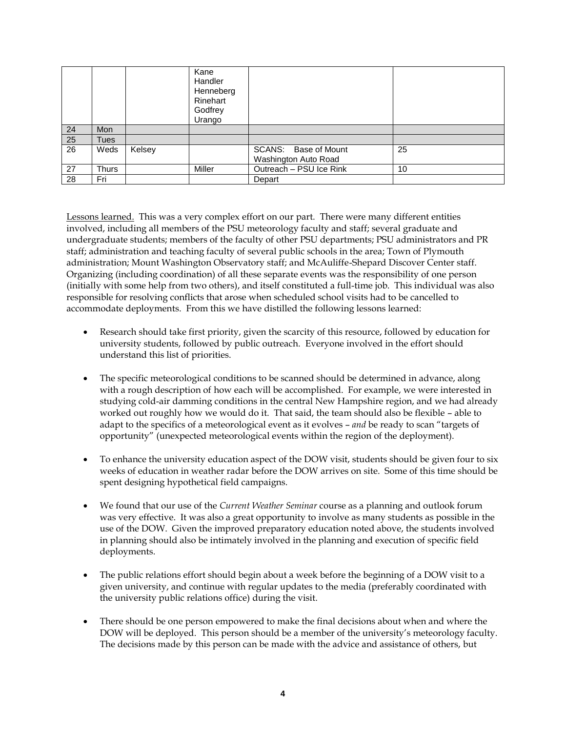|    |            |        | Kane<br>Handler<br>Henneberg<br>Rinehart<br>Godfrey<br>Urango |                                              |    |
|----|------------|--------|---------------------------------------------------------------|----------------------------------------------|----|
| 24 | <b>Mon</b> |        |                                                               |                                              |    |
| 25 | Tues       |        |                                                               |                                              |    |
| 26 | Weds       | Kelsey |                                                               | SCANS: Base of Mount<br>Washington Auto Road | 25 |
| 27 | Thurs      |        | Miller                                                        | Outreach - PSU Ice Rink                      | 10 |
| 28 | Fri        |        |                                                               | Depart                                       |    |

Lessons learned. This was a very complex effort on our part. There were many different entities involved, including all members of the PSU meteorology faculty and staff; several graduate and undergraduate students; members of the faculty of other PSU departments; PSU administrators and PR staff; administration and teaching faculty of several public schools in the area; Town of Plymouth administration; Mount Washington Observatory staff; and McAuliffe-Shepard Discover Center staff. Organizing (including coordination) of all these separate events was the responsibility of one person (initially with some help from two others), and itself constituted a full-time job. This individual was also responsible for resolving conflicts that arose when scheduled school visits had to be cancelled to accommodate deployments. From this we have distilled the following lessons learned:

- Research should take first priority, given the scarcity of this resource, followed by education for university students, followed by public outreach. Everyone involved in the effort should understand this list of priorities.
- The specific meteorological conditions to be scanned should be determined in advance, along with a rough description of how each will be accomplished. For example, we were interested in studying cold-air damming conditions in the central New Hampshire region, and we had already worked out roughly how we would do it. That said, the team should also be flexible – able to adapt to the specifics of a meteorological event as it evolves – *and* be ready to scan "targets of opportunity" (unexpected meteorological events within the region of the deployment).
- To enhance the university education aspect of the DOW visit, students should be given four to six weeks of education in weather radar before the DOW arrives on site. Some of this time should be spent designing hypothetical field campaigns.
- We found that our use of the *Current Weather Seminar* course as a planning and outlook forum was very effective. It was also a great opportunity to involve as many students as possible in the use of the DOW. Given the improved preparatory education noted above, the students involved in planning should also be intimately involved in the planning and execution of specific field deployments.
- The public relations effort should begin about a week before the beginning of a DOW visit to a given university, and continue with regular updates to the media (preferably coordinated with the university public relations office) during the visit.
- There should be one person empowered to make the final decisions about when and where the DOW will be deployed. This person should be a member of the university's meteorology faculty. The decisions made by this person can be made with the advice and assistance of others, but